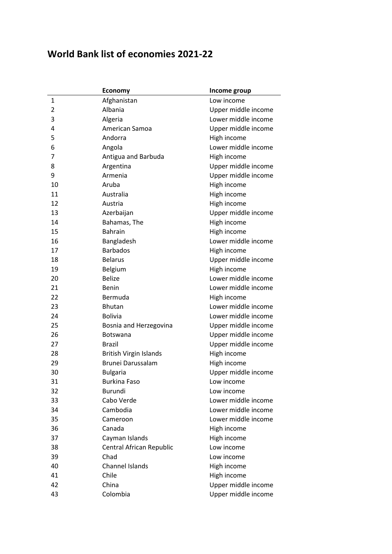## **World Bank list of economies 2021-22**

|              | <b>Economy</b>                | Income group        |
|--------------|-------------------------------|---------------------|
| $\mathbf{1}$ | Afghanistan                   | Low income          |
| 2            | Albania                       | Upper middle income |
| 3            | Algeria                       | Lower middle income |
| 4            | American Samoa                | Upper middle income |
| 5            | Andorra                       | High income         |
| 6            | Angola                        | Lower middle income |
| 7            | Antigua and Barbuda           | High income         |
| 8            | Argentina                     | Upper middle income |
| 9            | Armenia                       | Upper middle income |
| 10           | Aruba                         | High income         |
| 11           | Australia                     | High income         |
| 12           | Austria                       | High income         |
| 13           | Azerbaijan                    | Upper middle income |
| 14           | Bahamas, The                  | High income         |
| 15           | <b>Bahrain</b>                | High income         |
| 16           | Bangladesh                    | Lower middle income |
| 17           | <b>Barbados</b>               | High income         |
| 18           | <b>Belarus</b>                | Upper middle income |
| 19           | Belgium                       | High income         |
| 20           | <b>Belize</b>                 | Lower middle income |
| 21           | <b>Benin</b>                  | Lower middle income |
| 22           | Bermuda                       | High income         |
| 23           | <b>Bhutan</b>                 | Lower middle income |
| 24           | <b>Bolivia</b>                | Lower middle income |
| 25           | Bosnia and Herzegovina        | Upper middle income |
| 26           | <b>Botswana</b>               | Upper middle income |
| 27           | <b>Brazil</b>                 | Upper middle income |
| 28           | <b>British Virgin Islands</b> | High income         |
| 29           | Brunei Darussalam             | High income         |
| 30           | <b>Bulgaria</b>               | Upper middle income |
| 31           | <b>Burkina Faso</b>           | Low income          |
| 32           | Burundi                       | Low income          |
| 33           | Cabo Verde                    | Lower middle income |
| 34           | Cambodia                      | Lower middle income |
| 35           | Cameroon                      | Lower middle income |
| 36           | Canada                        | High income         |
| 37           | Cayman Islands                | High income         |
| 38           | Central African Republic      | Low income          |
| 39           | Chad                          | Low income          |
| 40           | <b>Channel Islands</b>        | High income         |
| 41           | Chile                         | High income         |
| 42           | China                         | Upper middle income |
| 43           | Colombia                      | Upper middle income |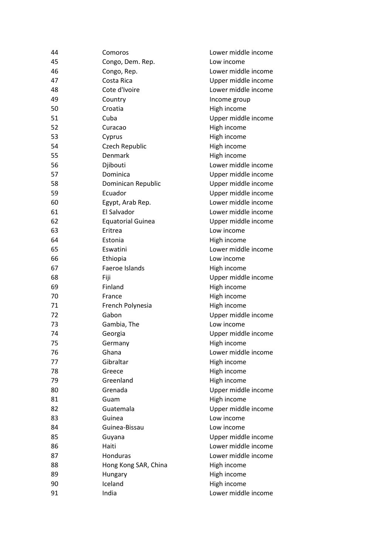| 44 | Comoros                  | Lower middle income |
|----|--------------------------|---------------------|
| 45 | Congo, Dem. Rep.         | Low income          |
| 46 | Congo, Rep.              | Lower middle income |
| 47 | Costa Rica               | Upper middle income |
| 48 | Cote d'Ivoire            | Lower middle income |
| 49 | Country                  | Income group        |
| 50 | Croatia                  | High income         |
| 51 | Cuba                     | Upper middle income |
| 52 | Curacao                  | High income         |
| 53 | Cyprus                   | High income         |
| 54 | Czech Republic           | High income         |
| 55 | Denmark                  | High income         |
| 56 | Djibouti                 | Lower middle income |
| 57 | Dominica                 | Upper middle income |
| 58 | Dominican Republic       | Upper middle income |
| 59 | Ecuador                  | Upper middle income |
| 60 | Egypt, Arab Rep.         | Lower middle income |
| 61 | El Salvador              | Lower middle income |
| 62 | <b>Equatorial Guinea</b> | Upper middle income |
| 63 | Eritrea                  | Low income          |
| 64 | Estonia                  | High income         |
| 65 | Eswatini                 | Lower middle income |
| 66 | Ethiopia                 | Low income          |
| 67 | Faeroe Islands           | High income         |
| 68 | Fiji                     | Upper middle income |
| 69 | Finland                  | High income         |
| 70 | France                   | High income         |
| 71 | French Polynesia         | High income         |
| 72 | Gabon                    | Upper middle income |
| 73 | Gambia, The              | Low income          |
| 74 | Georgia                  | Upper middle income |
| 75 | Germany                  | High income         |
| 76 | Ghana                    | Lower middle income |
| 77 | Gibraltar                | High income         |
| 78 | Greece                   | High income         |
| 79 | Greenland                | High income         |
| 80 | Grenada                  | Upper middle income |
| 81 | Guam                     | High income         |
| 82 | Guatemala                | Upper middle income |
| 83 | Guinea                   | Low income          |
| 84 | Guinea-Bissau            | Low income          |
| 85 | Guyana                   | Upper middle income |
| 86 | Haiti                    | Lower middle income |
| 87 | Honduras                 | Lower middle income |
| 88 | Hong Kong SAR, China     | High income         |
| 89 | Hungary                  | High income         |
| 90 | Iceland                  | High income         |
| 91 | India                    | Lower middle income |
|    |                          |                     |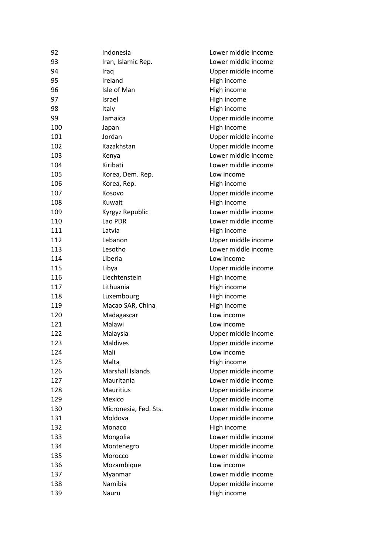| 92  | Indonesia             | Lower middle income |
|-----|-----------------------|---------------------|
| 93  | Iran, Islamic Rep.    | Lower middle income |
| 94  | Iraq                  | Upper middle income |
| 95  | Ireland               | High income         |
| 96  | Isle of Man           | High income         |
| 97  | Israel                | High income         |
| 98  | Italy                 | High income         |
| 99  | Jamaica               | Upper middle income |
| 100 | Japan                 | High income         |
| 101 | Jordan                | Upper middle income |
| 102 | Kazakhstan            | Upper middle income |
| 103 | Kenya                 | Lower middle income |
| 104 | Kiribati              | Lower middle income |
| 105 | Korea, Dem. Rep.      | Low income          |
| 106 | Korea, Rep.           | High income         |
| 107 | Kosovo                | Upper middle income |
| 108 | Kuwait                | High income         |
| 109 | Kyrgyz Republic       | Lower middle income |
| 110 | Lao PDR               | Lower middle income |
| 111 | Latvia                | High income         |
| 112 | Lebanon               | Upper middle income |
| 113 | Lesotho               | Lower middle income |
| 114 | Liberia               | Low income          |
| 115 | Libya                 | Upper middle income |
| 116 | Liechtenstein         | High income         |
| 117 | Lithuania             | High income         |
| 118 | Luxembourg            | High income         |
| 119 | Macao SAR, China      | High income         |
| 120 | Madagascar            | Low income          |
| 121 | Malawi                | Low income          |
| 122 | Malaysia              | Upper middle income |
| 123 | Maldives              | Upper middle income |
| 124 | Mali                  | Low income          |
| 125 | Malta                 | High income         |
| 126 | Marshall Islands      | Upper middle income |
| 127 | Mauritania            | Lower middle income |
| 128 | Mauritius             | Upper middle income |
| 129 | Mexico                | Upper middle income |
| 130 | Micronesia, Fed. Sts. | Lower middle income |
| 131 | Moldova               | Upper middle income |
| 132 | Monaco                | High income         |
| 133 | Mongolia              | Lower middle income |
| 134 | Montenegro            | Upper middle income |
| 135 | Morocco               | Lower middle income |
| 136 | Mozambique            | Low income          |
| 137 | Myanmar               | Lower middle income |
| 138 | Namibia               | Upper middle income |
| 139 | Nauru                 | High income         |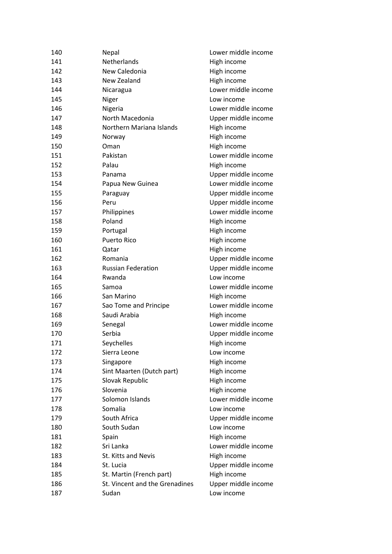| 140 | Nepal                          | Lower middle income |
|-----|--------------------------------|---------------------|
| 141 | Netherlands                    | High income         |
| 142 | New Caledonia                  | High income         |
| 143 | New Zealand                    | High income         |
| 144 | Nicaragua                      | Lower middle income |
| 145 | Niger                          | Low income          |
| 146 | Nigeria                        | Lower middle income |
| 147 | North Macedonia                | Upper middle income |
| 148 | Northern Mariana Islands       | High income         |
| 149 | Norway                         | High income         |
| 150 | Oman                           | High income         |
| 151 | Pakistan                       | Lower middle income |
| 152 | Palau                          | High income         |
| 153 | Panama                         | Upper middle income |
| 154 | Papua New Guinea               | Lower middle income |
| 155 | Paraguay                       | Upper middle income |
| 156 | Peru                           | Upper middle income |
| 157 | Philippines                    | Lower middle income |
| 158 | Poland                         | High income         |
| 159 | Portugal                       | High income         |
| 160 | Puerto Rico                    | High income         |
| 161 | Qatar                          | High income         |
| 162 | Romania                        | Upper middle income |
| 163 | <b>Russian Federation</b>      | Upper middle income |
| 164 | Rwanda                         | Low income          |
| 165 | Samoa                          | Lower middle income |
| 166 | San Marino                     | High income         |
| 167 | Sao Tome and Principe          | Lower middle income |
| 168 | Saudi Arabia                   | High income         |
| 169 | Senegal                        | Lower middle income |
| 170 | Serbia                         | Upper middle income |
| 171 | Seychelles                     | High income         |
| 172 | Sierra Leone                   | Low income          |
| 173 | Singapore                      | High income         |
| 174 | Sint Maarten (Dutch part)      | High income         |
| 175 | Slovak Republic                | High income         |
| 176 | Slovenia                       | High income         |
| 177 | Solomon Islands                | Lower middle income |
| 178 | Somalia                        | Low income          |
| 179 | South Africa                   | Upper middle income |
| 180 | South Sudan                    | Low income          |
| 181 | Spain                          | High income         |
| 182 | Sri Lanka                      | Lower middle income |
| 183 | St. Kitts and Nevis            | High income         |
| 184 | St. Lucia                      | Upper middle income |
| 185 | St. Martin (French part)       | High income         |
| 186 | St. Vincent and the Grenadines | Upper middle income |
| 187 | Sudan                          | Low income          |
|     |                                |                     |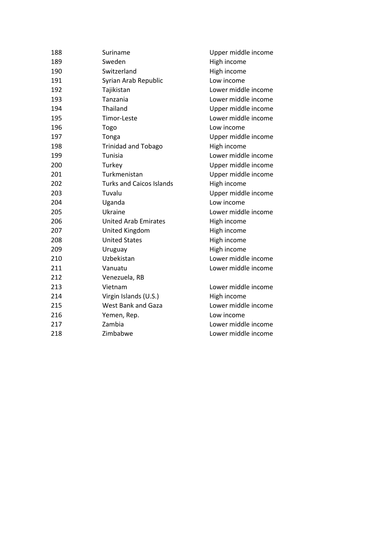| 188 | Suriname                        | Upper middle income |
|-----|---------------------------------|---------------------|
| 189 | Sweden                          | High income         |
| 190 | Switzerland                     | High income         |
| 191 | Syrian Arab Republic            | Low income          |
| 192 | Tajikistan                      | Lower middle income |
| 193 | Tanzania                        | Lower middle income |
| 194 | Thailand                        | Upper middle income |
| 195 | Timor-Leste                     | Lower middle income |
| 196 | Togo                            | Low income          |
| 197 | Tonga                           | Upper middle income |
| 198 | <b>Trinidad and Tobago</b>      | High income         |
| 199 | Tunisia                         | Lower middle income |
| 200 | Turkey                          | Upper middle income |
| 201 | Turkmenistan                    | Upper middle income |
| 202 | <b>Turks and Caicos Islands</b> | High income         |
| 203 | Tuvalu                          | Upper middle income |
| 204 | Uganda                          | Low income          |
| 205 | Ukraine                         | Lower middle income |
| 206 | <b>United Arab Emirates</b>     | High income         |
| 207 | United Kingdom                  | High income         |
| 208 | <b>United States</b>            | High income         |
| 209 | Uruguay                         | High income         |
| 210 | Uzbekistan                      | Lower middle income |
| 211 | Vanuatu                         | Lower middle income |
| 212 | Venezuela, RB                   |                     |
| 213 | Vietnam                         | Lower middle income |
| 214 | Virgin Islands (U.S.)           | High income         |
| 215 | West Bank and Gaza              | Lower middle income |
| 216 | Yemen, Rep.                     | Low income          |
| 217 | Zambia                          | Lower middle income |
| 218 | Zimbabwe                        | Lower middle income |